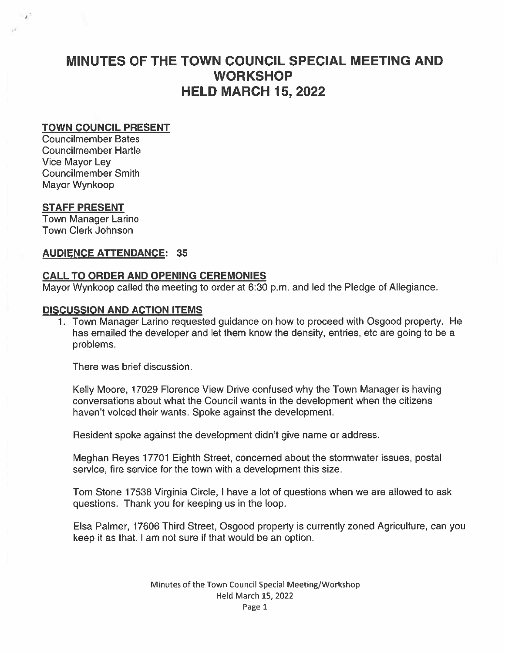# MINUTES OF THE TOWN COUNCIL SPECIAL MEETING AND **WORKSHOP** HELD MARCH 15, 2022

## TOWN COUNCIL PRESENT

Councilmember Bates Councilmember Hartle Vice Mayor Ley Councilmember Smith Mayor Wynkoop

## STAFF PRESENT

-11

Town Manager Larino Town Clerk Johnson

## AUDIENCE ATTENDANCE: 35

# CALL TO ORDER AND OPENING CEREMONIES

Mayor Wynkoop called the meeting to order at 6:30 p.m. and led the Pledge of Allegiance.

## DISCUSSION AND ACTION ITEMS

1. Town Manager Larino requested guidance on how to proceed with Osgood property. He has emailed the developer and let them know the density, entries, etc are going to be <sup>a</sup> problems.

There was brief discussion.

Kelly Moore, 17029 Florence View Drive confused why the Town Manager is having conversations about what the Council wants in the development when the citizens haven't voiced their wants. Spoke against the development.

Resident spoke against the development didn't give name or address.

Meghan Reyes 17701 Eighth Street, concerned about the stormwater issues, postal service, fire service for the town with <sup>a</sup> development this size.

Tom Stone 17538 Virginia Circle, I have <sup>a</sup> lot of questions when we are allowed to ask questions. Thank you for keeping us in the loop.

Elsa Palmer, 17606 Third Street, Osgood property is currently zoned Agriculture, can you keep it as that. I am not sure if that would be an option.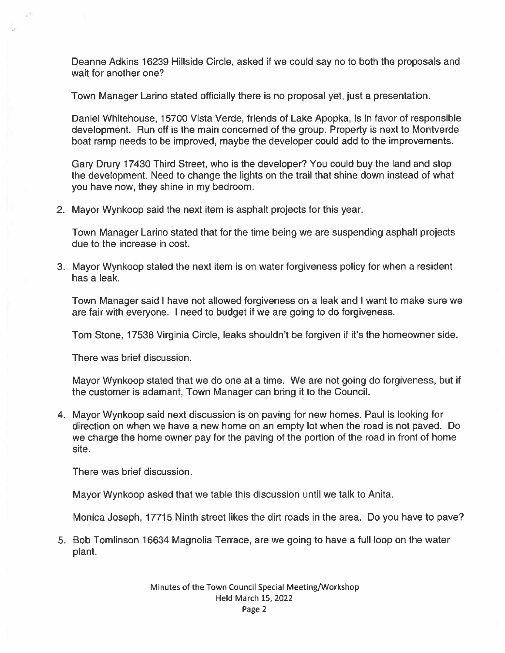Deanne Adkins 16239 Hillside Circle, asked if we could say no to both the proposals and wait for another one?

Town Manager Larino stated officially there is no proposal yet, just <sup>a</sup> presentation.

Daniel Whitehouse, 15700 Vista Verde, friends of Lake Apopka, is in favor of responsible development. Run off is the main concerned of the group. Property is next to Montverde boat ramp needs to be improved, maybe the developer could add to the improvements.

Gary Drury 17430 Third Street, who is the developer? You could buy the land and stop the development. Need to change the lights on the trail that shine down instead of what you have now, they shine in my bedroom.

2. Mayor Wynkoop said the next item is asphalt projects for this year.

Town Manager Larino stated that for the time being we are suspending asphalt projects due to the increase in cost.

3. Mayor Wynkoop stated the next item is on water forgiveness policy for when <sup>a</sup> resident has <sup>a</sup> leak.

Town Manager said I have not allowed forgiveness on <sup>a</sup> leak and I want to make sure we are fair with everyone. I need to budget if we are going to do forgiveness.

Tom Stone, 17538 Virginia Circle, leaks shouldn't be forgiven if it's the homeowner side.

There was brief discussion.

Mayor Wynkoop stated that we do one at <sup>a</sup> time. We are not going do forgiveness, but if the customer is adamant, Town Manager can bring it to the Council.

4. Mayor Wynkoop said next discussion is on paving for new homes. Paul is looking for direction on when we have <sup>a</sup> new home on an empty lot when the road is not paved. Do we charge the home owner pay for the paving of the portion of the road in front of home site.

There was brief discussion.

Mayor Wynkoop asked that we table this discussion until we talk to Anita.

Monica Joseph, 17715 Ninth street likes the dirt roads in the area. Do you have to pave?

5. Bob Tomlinson 16634 Magnolia Terrace, are we going to have <sup>a</sup> full loop on the water plant.